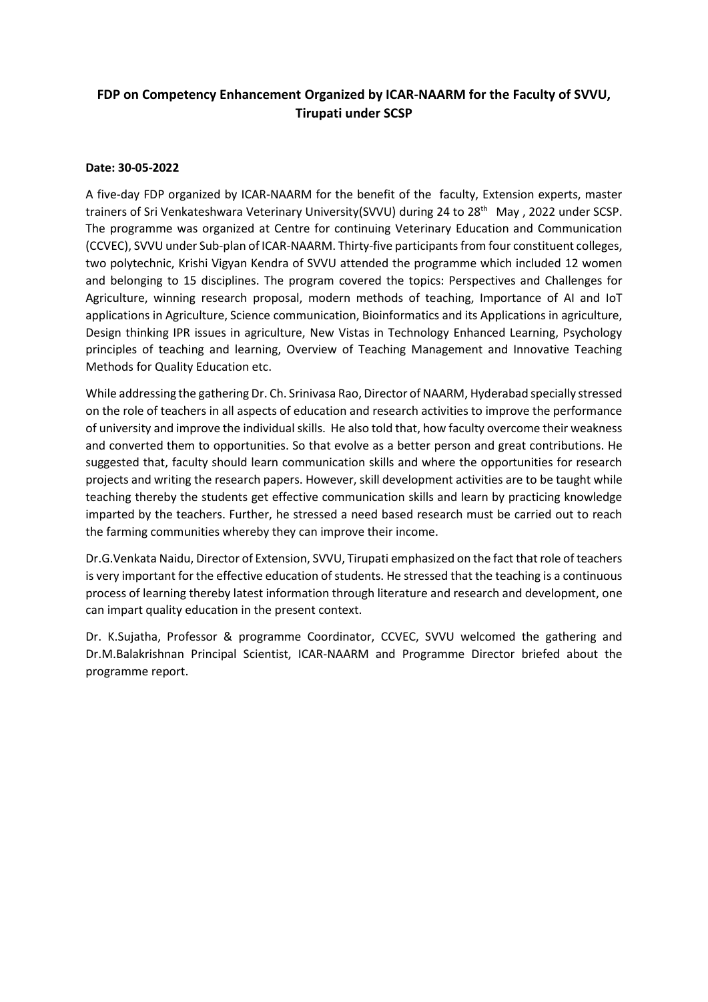## **FDP on Competency Enhancement Organized by ICAR-NAARM for the Faculty of SVVU, Tirupati under SCSP**

## **Date: 30-05-2022**

A five-day FDP organized by ICAR-NAARM for the benefit of the faculty, Extension experts, master trainers of Sri Venkateshwara Veterinary University(SVVU) during 24 to 28<sup>th</sup> May, 2022 under SCSP. The programme was organized at Centre for continuing Veterinary Education and Communication (CCVEC), SVVU under Sub-plan of ICAR-NAARM. Thirty-five participantsfrom four constituent colleges, two polytechnic, Krishi Vigyan Kendra of SVVU attended the programme which included 12 women and belonging to 15 disciplines. The program covered the topics: Perspectives and Challenges for Agriculture, winning research proposal, modern methods of teaching, Importance of AI and IoT applications in Agriculture, Science communication, Bioinformatics and its Applications in agriculture, Design thinking IPR issues in agriculture, New Vistas in Technology Enhanced Learning, Psychology principles of teaching and learning, Overview of Teaching Management and Innovative Teaching Methods for Quality Education etc.

While addressing the gathering Dr. Ch. Srinivasa Rao, Director of NAARM, Hyderabad specially stressed on the role of teachers in all aspects of education and research activities to improve the performance of university and improve the individual skills. He also told that, how faculty overcome their weakness and converted them to opportunities. So that evolve as a better person and great contributions. He suggested that, faculty should learn communication skills and where the opportunities for research projects and writing the research papers. However, skill development activities are to be taught while teaching thereby the students get effective communication skills and learn by practicing knowledge imparted by the teachers. Further, he stressed a need based research must be carried out to reach the farming communities whereby they can improve their income.

Dr.G.Venkata Naidu, Director of Extension, SVVU, Tirupati emphasized on the fact that role of teachers is very important for the effective education of students. He stressed that the teaching is a continuous process of learning thereby latest information through literature and research and development, one can impart quality education in the present context.

Dr. K.Sujatha, Professor & programme Coordinator, CCVEC, SVVU welcomed the gathering and Dr.M.Balakrishnan Principal Scientist, ICAR-NAARM and Programme Director briefed about the programme report.